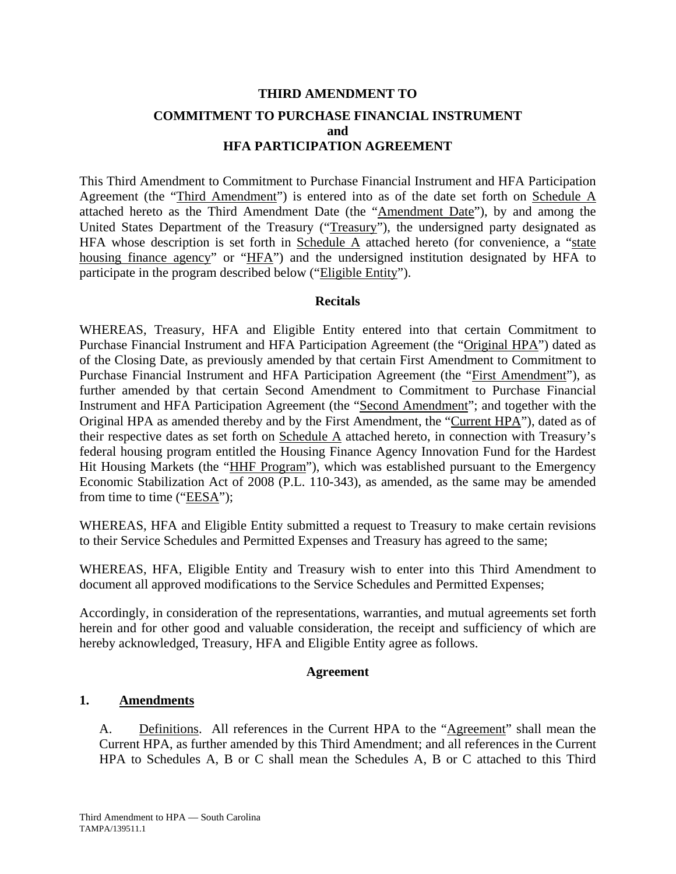# **THIRD AMENDMENT TO COMMITMENT TO PURCHASE FINANCIAL INSTRUMENT and HFA PARTICIPATION AGREEMENT**

This Third Amendment to Commitment to Purchase Financial Instrument and HFA Participation Agreement (the "Third Amendment") is entered into as of the date set forth on Schedule A attached hereto as the Third Amendment Date (the "Amendment Date"), by and among the United States Department of the Treasury ("Treasury"), the undersigned party designated as HFA whose description is set forth in Schedule  $\overline{A}$  attached hereto (for convenience, a "state housing finance agency" or "HFA") and the undersigned institution designated by HFA to participate in the program described below ("Eligible Entity").

#### **Recitals**

WHEREAS, Treasury, HFA and Eligible Entity entered into that certain Commitment to Purchase Financial Instrument and HFA Participation Agreement (the "Original HPA") dated as of the Closing Date, as previously amended by that certain First Amendment to Commitment to Purchase Financial Instrument and HFA Participation Agreement (the "First Amendment"), as further amended by that certain Second Amendment to Commitment to Purchase Financial Instrument and HFA Participation Agreement (the "Second Amendment"; and together with the Original HPA as amended thereby and by the First Amendment, the "Current HPA"), dated as of their respective dates as set forth on Schedule A attached hereto, in connection with Treasury's federal housing program entitled the Housing Finance Agency Innovation Fund for the Hardest Hit Housing Markets (the "HHF Program"), which was established pursuant to the Emergency Economic Stabilization Act of 2008 (P.L. 110-343), as amended, as the same may be amended from time to time (" $EESA$ ");

WHEREAS, HFA and Eligible Entity submitted a request to Treasury to make certain revisions to their Service Schedules and Permitted Expenses and Treasury has agreed to the same;

WHEREAS, HFA, Eligible Entity and Treasury wish to enter into this Third Amendment to document all approved modifications to the Service Schedules and Permitted Expenses;

Accordingly, in consideration of the representations, warranties, and mutual agreements set forth herein and for other good and valuable consideration, the receipt and sufficiency of which are hereby acknowledged, Treasury, HFA and Eligible Entity agree as follows.

#### **Agreement**

## **1. Amendments**

A. Definitions. All references in the Current HPA to the "Agreement" shall mean the Current HPA, as further amended by this Third Amendment; and all references in the Current HPA to Schedules A, B or C shall mean the Schedules A, B or C attached to this Third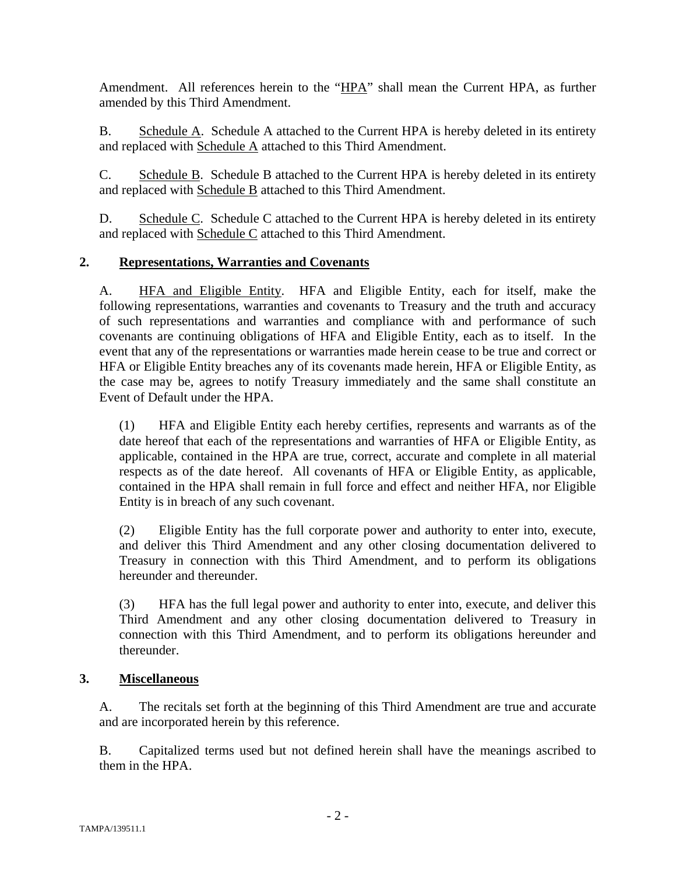Amendment. All references herein to the "HPA" shall mean the Current HPA, as further amended by this Third Amendment.

B. Schedule A. Schedule A attached to the Current HPA is hereby deleted in its entirety and replaced with Schedule A attached to this Third Amendment.

C. Schedule B. Schedule B attached to the Current HPA is hereby deleted in its entirety and replaced with Schedule B attached to this Third Amendment.

D. Schedule C. Schedule C attached to the Current HPA is hereby deleted in its entirety and replaced with Schedule C attached to this Third Amendment.

## **2. Representations, Warranties and Covenants**

A. HFA and Eligible Entity. HFA and Eligible Entity, each for itself, make the following representations, warranties and covenants to Treasury and the truth and accuracy of such representations and warranties and compliance with and performance of such covenants are continuing obligations of HFA and Eligible Entity, each as to itself. In the event that any of the representations or warranties made herein cease to be true and correct or HFA or Eligible Entity breaches any of its covenants made herein, HFA or Eligible Entity, as the case may be, agrees to notify Treasury immediately and the same shall constitute an Event of Default under the HPA.

(1) HFA and Eligible Entity each hereby certifies, represents and warrants as of the date hereof that each of the representations and warranties of HFA or Eligible Entity, as applicable, contained in the HPA are true, correct, accurate and complete in all material respects as of the date hereof. All covenants of HFA or Eligible Entity, as applicable, contained in the HPA shall remain in full force and effect and neither HFA, nor Eligible Entity is in breach of any such covenant.

(2) Eligible Entity has the full corporate power and authority to enter into, execute, and deliver this Third Amendment and any other closing documentation delivered to Treasury in connection with this Third Amendment, and to perform its obligations hereunder and thereunder.

(3) HFA has the full legal power and authority to enter into, execute, and deliver this Third Amendment and any other closing documentation delivered to Treasury in connection with this Third Amendment, and to perform its obligations hereunder and thereunder.

## **3. Miscellaneous**

A. The recitals set forth at the beginning of this Third Amendment are true and accurate and are incorporated herein by this reference.

B. Capitalized terms used but not defined herein shall have the meanings ascribed to them in the HPA.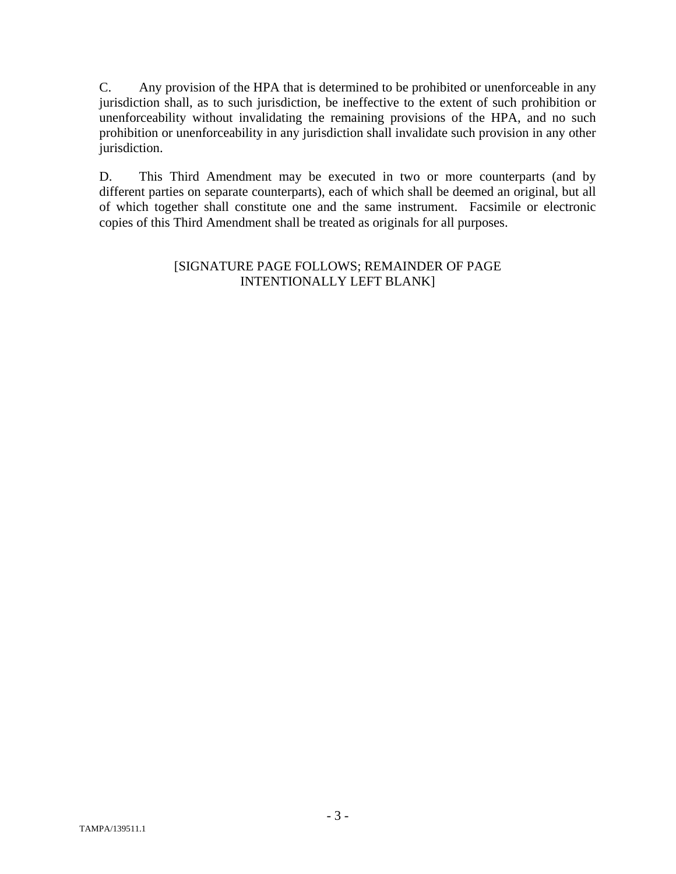C. Any provision of the HPA that is determined to be prohibited or unenforceable in any jurisdiction shall, as to such jurisdiction, be ineffective to the extent of such prohibition or unenforceability without invalidating the remaining provisions of the HPA, and no such prohibition or unenforceability in any jurisdiction shall invalidate such provision in any other jurisdiction.

D. This Third Amendment may be executed in two or more counterparts (and by different parties on separate counterparts), each of which shall be deemed an original, but all of which together shall constitute one and the same instrument. Facsimile or electronic copies of this Third Amendment shall be treated as originals for all purposes.

### [SIGNATURE PAGE FOLLOWS; REMAINDER OF PAGE INTENTIONALLY LEFT BLANK]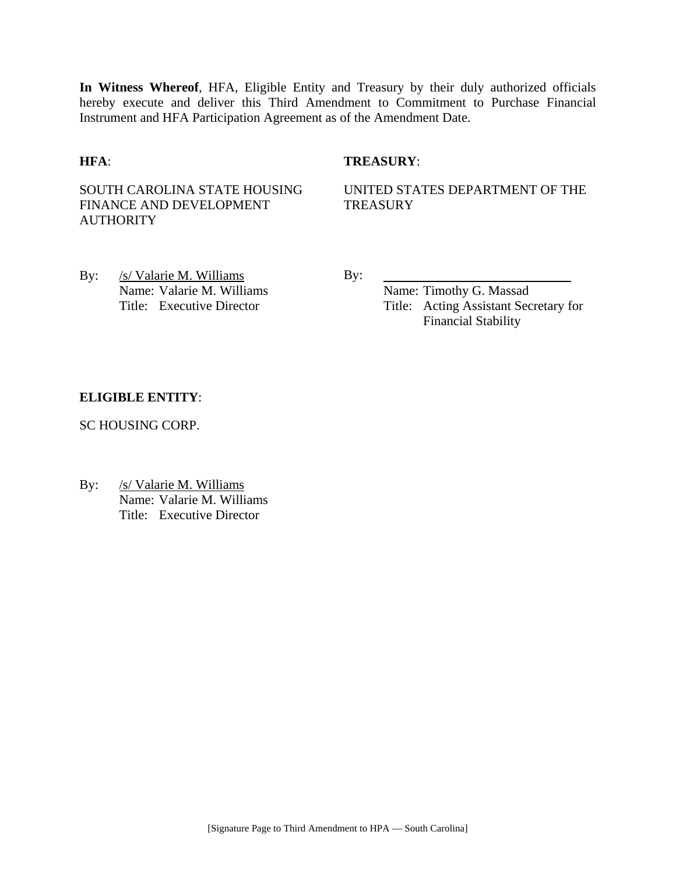**In Witness Whereof**, HFA, Eligible Entity and Treasury by their duly authorized officials hereby execute and deliver this Third Amendment to Commitment to Purchase Financial Instrument and HFA Participation Agreement as of the Amendment Date.

#### **HFA**: **TREASURY**:

SOUTH CAROLINA STATE HOUSING FINANCE AND DEVELOPMENT **AUTHORITY** 

UNITED STATES DEPARTMENT OF THE **TREASURY** 

By: /s/ Valarie M. Williams By: Name: Valarie M. Williams Name: Timothy G. Massad

Title: Executive Director Title: Acting Assistant Secretary for Financial Stability

#### **ELIGIBLE ENTITY**:

SC HOUSING CORP.

By: /s/ Valarie M. Williams Name: Valarie M. Williams Title: Executive Director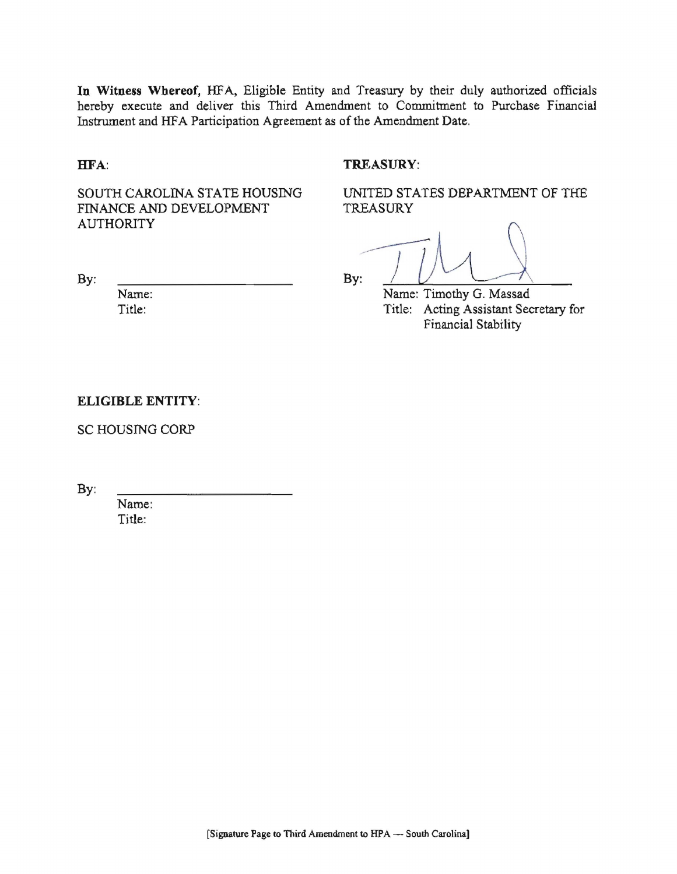In Witness Whereof, HFA, Eligible Entity and Treasury by their duly authorized officials hereby execute and deliver this Third Amendment to Commitment to Purchase Financial Instrument and HFA Participation Agreement as of the Amendment Date.

### HFA:

By:

#### TREASURY:

SOUTH CAROLINA STATE HOUSING FINANCE AND DEVELOPMENT **AUTHORITY** 

UNITED STATES DEPARTMENT OF THE **TREASURY** 

By:

Name: Timothy G. Massad Title: Acting Assistant Secretary for Financial Stability

#### **ELIGIBLE ENTITY:**

Name: Title:

**SC HOUSING CORP** 

By:

Name: Title: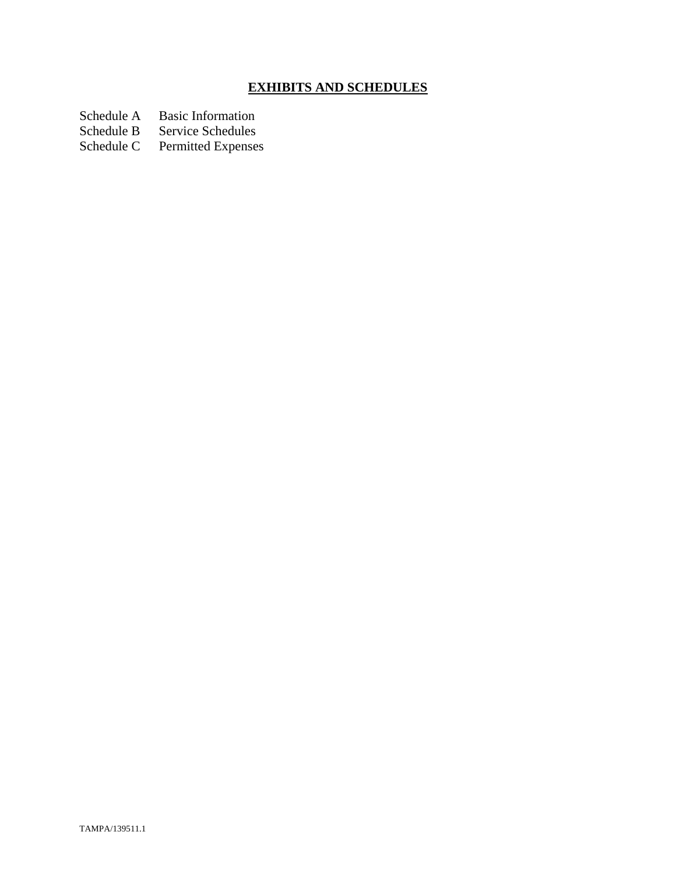# **EXHIBITS AND SCHEDULES**

Schedule A Basic Information<br>Schedule B Service Schedules

Schedule B Service Schedules<br>Schedule C Permitted Expenses

Permitted Expenses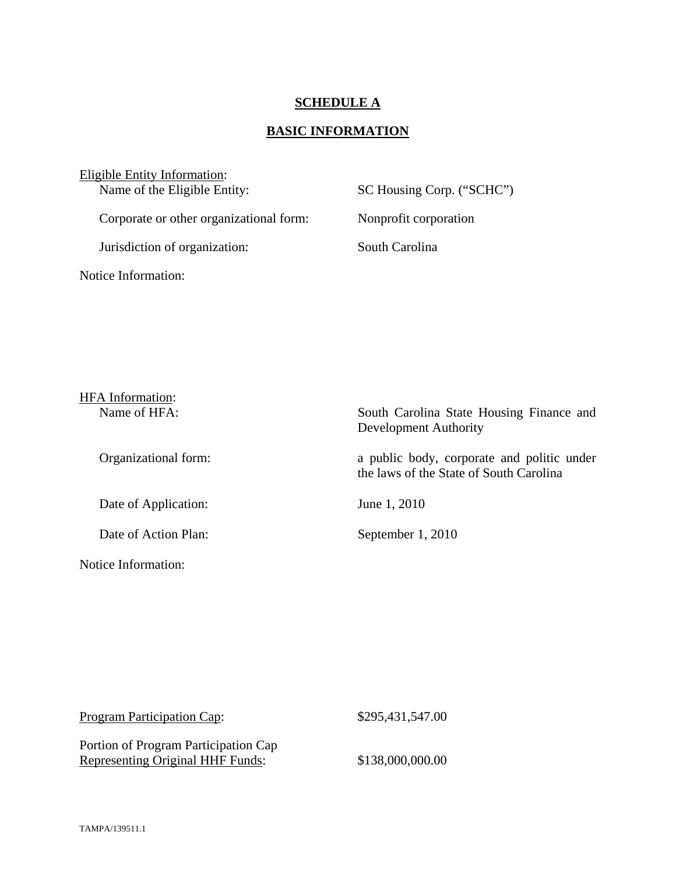## **SCHEDULE A**

## **BASIC INFORMATION**

Eligible Entity Information:<br>Name of the Eligible Entity:

Corporate or other organizational form: Nonprofit corporation

Jurisdiction of organization: South Carolina

Notice Information:

SC Housing Corp. ("SCHC")

| <b>HFA</b> Information: |                                                                                       |
|-------------------------|---------------------------------------------------------------------------------------|
| Name of HFA:            | South Carolina State Housing Finance and<br>Development Authority                     |
| Organizational form:    | a public body, corporate and politic under<br>the laws of the State of South Carolina |
| Date of Application:    | June 1, 2010                                                                          |
| Date of Action Plan:    | September 1, 2010                                                                     |
| Notice Information:     |                                                                                       |

| <b>Program Participation Cap:</b>                                        | \$295,431,547.00 |
|--------------------------------------------------------------------------|------------------|
| Portion of Program Participation Cap<br>Representing Original HHF Funds: | \$138,000,000.00 |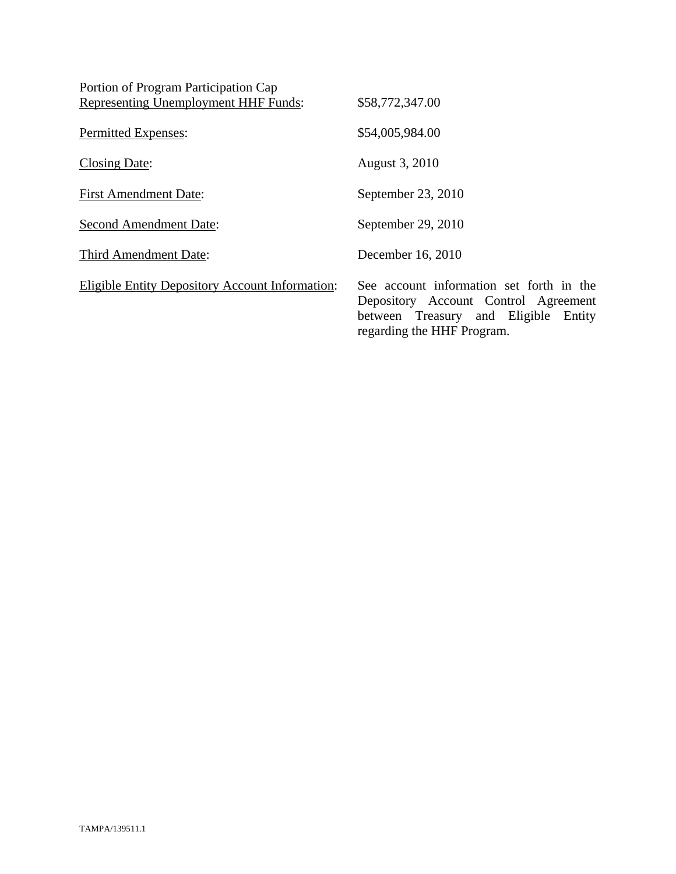| Portion of Program Participation Cap                   |                                                                                                                                                        |
|--------------------------------------------------------|--------------------------------------------------------------------------------------------------------------------------------------------------------|
| Representing Unemployment HHF Funds:                   | \$58,772,347.00                                                                                                                                        |
| Permitted Expenses:                                    | \$54,005,984.00                                                                                                                                        |
| <b>Closing Date:</b>                                   | August 3, 2010                                                                                                                                         |
| <b>First Amendment Date:</b>                           | September 23, 2010                                                                                                                                     |
| <b>Second Amendment Date:</b>                          | September 29, 2010                                                                                                                                     |
| Third Amendment Date:                                  | December 16, 2010                                                                                                                                      |
| <b>Eligible Entity Depository Account Information:</b> | See account information set forth in the<br>Depository Account Control Agreement<br>between Treasury and Eligible Entity<br>regarding the HHF Program. |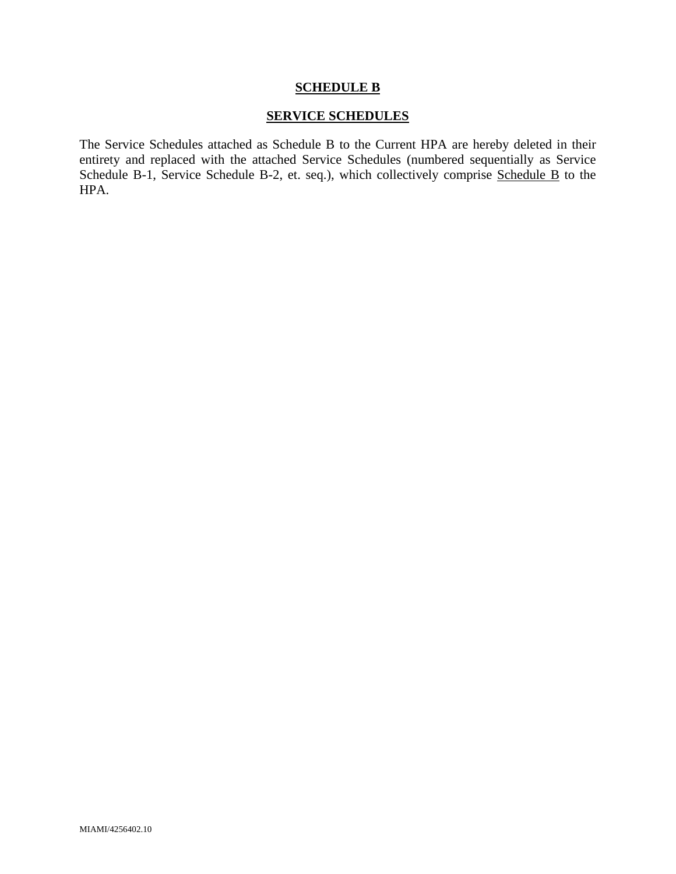#### **SCHEDULE B**

## **SERVICE SCHEDULES**

The Service Schedules attached as Schedule B to the Current HPA are hereby deleted in their entirety and replaced with the attached Service Schedules (numbered sequentially as Service Schedule B-1, Service Schedule B-2, et. seq.), which collectively comprise Schedule B to the HPA.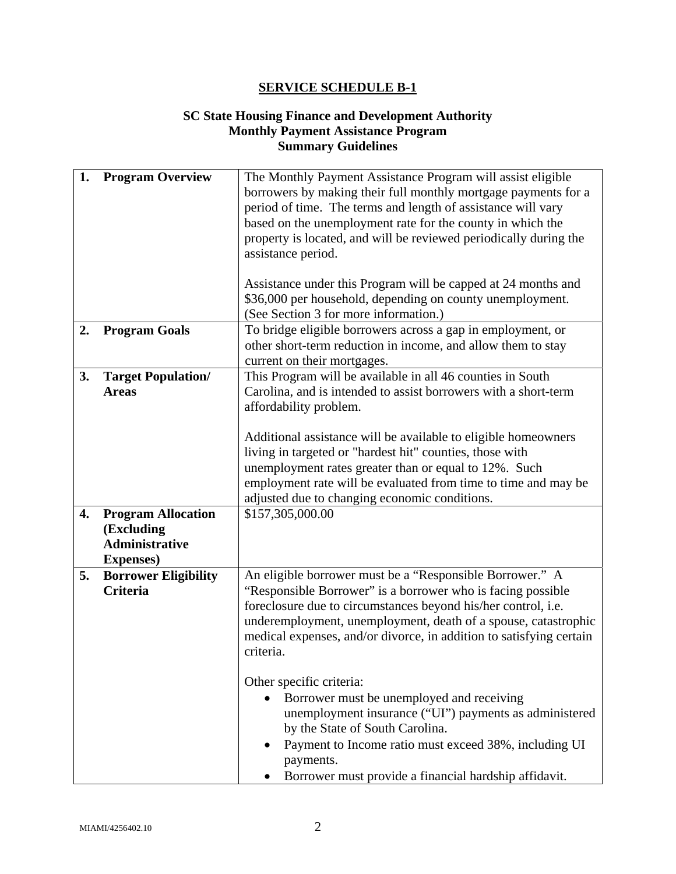## **SC State Housing Finance and Development Authority Monthly Payment Assistance Program Summary Guidelines**

| 1. | <b>Program Overview</b>                                                               | The Monthly Payment Assistance Program will assist eligible<br>borrowers by making their full monthly mortgage payments for a<br>period of time. The terms and length of assistance will vary<br>based on the unemployment rate for the county in which the<br>property is located, and will be reviewed periodically during the<br>assistance period.<br>Assistance under this Program will be capped at 24 months and<br>\$36,000 per household, depending on county unemployment.<br>(See Section 3 for more information.)                                                                                                                       |
|----|---------------------------------------------------------------------------------------|-----------------------------------------------------------------------------------------------------------------------------------------------------------------------------------------------------------------------------------------------------------------------------------------------------------------------------------------------------------------------------------------------------------------------------------------------------------------------------------------------------------------------------------------------------------------------------------------------------------------------------------------------------|
| 2. | <b>Program Goals</b>                                                                  | To bridge eligible borrowers across a gap in employment, or<br>other short-term reduction in income, and allow them to stay<br>current on their mortgages.                                                                                                                                                                                                                                                                                                                                                                                                                                                                                          |
| 3. | <b>Target Population/</b><br><b>Areas</b>                                             | This Program will be available in all 46 counties in South<br>Carolina, and is intended to assist borrowers with a short-term<br>affordability problem.<br>Additional assistance will be available to eligible homeowners<br>living in targeted or "hardest hit" counties, those with<br>unemployment rates greater than or equal to 12%. Such<br>employment rate will be evaluated from time to time and may be<br>adjusted due to changing economic conditions.                                                                                                                                                                                   |
| 4. | <b>Program Allocation</b><br>(Excluding<br><b>Administrative</b><br><b>Expenses</b> ) | \$157,305,000.00                                                                                                                                                                                                                                                                                                                                                                                                                                                                                                                                                                                                                                    |
| 5. | <b>Borrower Eligibility</b><br><b>Criteria</b>                                        | An eligible borrower must be a "Responsible Borrower." A<br>"Responsible Borrower" is a borrower who is facing possible<br>foreclosure due to circumstances beyond his/her control, i.e.<br>underemployment, unemployment, death of a spouse, catastrophic<br>medical expenses, and/or divorce, in addition to satisfying certain<br>criteria.<br>Other specific criteria:<br>Borrower must be unemployed and receiving<br>unemployment insurance ("UI") payments as administered<br>by the State of South Carolina.<br>Payment to Income ratio must exceed 38%, including UI<br>payments.<br>Borrower must provide a financial hardship affidavit. |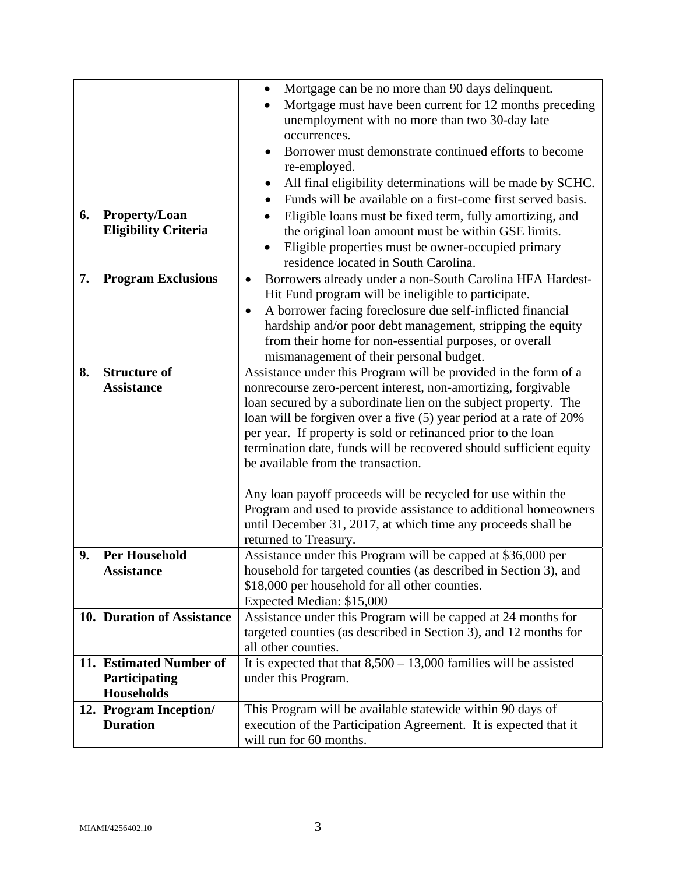|    |                                                               | Mortgage can be no more than 90 days delinquent.<br>$\bullet$<br>Mortgage must have been current for 12 months preceding<br>unemployment with no more than two 30-day late<br>occurrences.<br>Borrower must demonstrate continued efforts to become                                                                                                                                                                                                    |  |
|----|---------------------------------------------------------------|--------------------------------------------------------------------------------------------------------------------------------------------------------------------------------------------------------------------------------------------------------------------------------------------------------------------------------------------------------------------------------------------------------------------------------------------------------|--|
|    |                                                               | re-employed.<br>All final eligibility determinations will be made by SCHC.<br>Funds will be available on a first-come first served basis.                                                                                                                                                                                                                                                                                                              |  |
| 6. | <b>Property/Loan</b><br><b>Eligibility Criteria</b>           | Eligible loans must be fixed term, fully amortizing, and<br>$\bullet$<br>the original loan amount must be within GSE limits.<br>Eligible properties must be owner-occupied primary<br>residence located in South Carolina.                                                                                                                                                                                                                             |  |
| 7. | <b>Program Exclusions</b>                                     | Borrowers already under a non-South Carolina HFA Hardest-<br>$\bullet$<br>Hit Fund program will be ineligible to participate.<br>A borrower facing foreclosure due self-inflicted financial<br>hardship and/or poor debt management, stripping the equity<br>from their home for non-essential purposes, or overall<br>mismanagement of their personal budget.                                                                                         |  |
| 8. | <b>Structure of</b><br><b>Assistance</b>                      | Assistance under this Program will be provided in the form of a<br>nonrecourse zero-percent interest, non-amortizing, forgivable<br>loan secured by a subordinate lien on the subject property. The<br>loan will be forgiven over a five (5) year period at a rate of 20%<br>per year. If property is sold or refinanced prior to the loan<br>termination date, funds will be recovered should sufficient equity<br>be available from the transaction. |  |
|    |                                                               | Any loan payoff proceeds will be recycled for use within the<br>Program and used to provide assistance to additional homeowners<br>until December 31, 2017, at which time any proceeds shall be<br>returned to Treasury.                                                                                                                                                                                                                               |  |
| 9. | <b>Per Household</b><br><b>Assistance</b>                     | Assistance under this Program will be capped at \$36,000 per<br>household for targeted counties (as described in Section 3), and<br>\$18,000 per household for all other counties.<br>Expected Median: \$15,000                                                                                                                                                                                                                                        |  |
|    | 10. Duration of Assistance                                    | Assistance under this Program will be capped at 24 months for<br>targeted counties (as described in Section 3), and 12 months for<br>all other counties.                                                                                                                                                                                                                                                                                               |  |
|    | 11. Estimated Number of<br>Participating<br><b>Households</b> | It is expected that that $8,500 - 13,000$ families will be assisted<br>under this Program.                                                                                                                                                                                                                                                                                                                                                             |  |
|    | 12. Program Inception/<br><b>Duration</b>                     | This Program will be available statewide within 90 days of<br>execution of the Participation Agreement. It is expected that it<br>will run for 60 months.                                                                                                                                                                                                                                                                                              |  |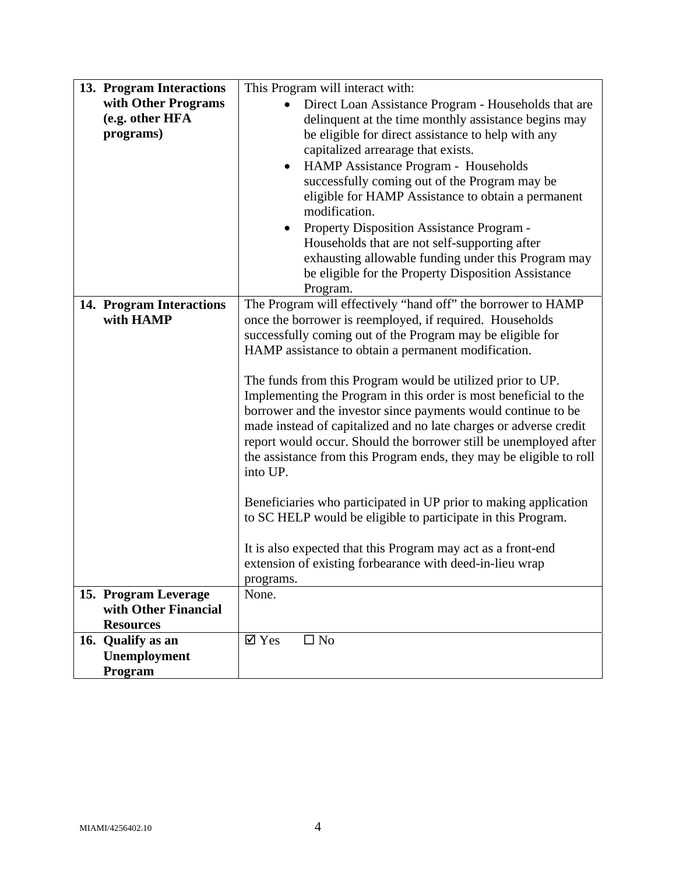| 13. Program Interactions                                         | This Program will interact with:                                                                                                                                                                                                                                                                                                                                                                                                                                                                                                                                                                                                                                                                                                                                                                                                                                                                                                                           |  |
|------------------------------------------------------------------|------------------------------------------------------------------------------------------------------------------------------------------------------------------------------------------------------------------------------------------------------------------------------------------------------------------------------------------------------------------------------------------------------------------------------------------------------------------------------------------------------------------------------------------------------------------------------------------------------------------------------------------------------------------------------------------------------------------------------------------------------------------------------------------------------------------------------------------------------------------------------------------------------------------------------------------------------------|--|
| with Other Programs<br>(e.g. other HFA<br>programs)              | Direct Loan Assistance Program - Households that are<br>delinquent at the time monthly assistance begins may<br>be eligible for direct assistance to help with any<br>capitalized arrearage that exists.                                                                                                                                                                                                                                                                                                                                                                                                                                                                                                                                                                                                                                                                                                                                                   |  |
|                                                                  | HAMP Assistance Program - Households<br>$\bullet$<br>successfully coming out of the Program may be<br>eligible for HAMP Assistance to obtain a permanent<br>modification.<br>Property Disposition Assistance Program -<br>Households that are not self-supporting after<br>exhausting allowable funding under this Program may<br>be eligible for the Property Disposition Assistance<br>Program.                                                                                                                                                                                                                                                                                                                                                                                                                                                                                                                                                          |  |
| 14. Program Interactions<br>with HAMP                            | The Program will effectively "hand off" the borrower to HAMP<br>once the borrower is reemployed, if required. Households<br>successfully coming out of the Program may be eligible for<br>HAMP assistance to obtain a permanent modification.<br>The funds from this Program would be utilized prior to UP.<br>Implementing the Program in this order is most beneficial to the<br>borrower and the investor since payments would continue to be<br>made instead of capitalized and no late charges or adverse credit<br>report would occur. Should the borrower still be unemployed after<br>the assistance from this Program ends, they may be eligible to roll<br>into UP.<br>Beneficiaries who participated in UP prior to making application<br>to SC HELP would be eligible to participate in this Program.<br>It is also expected that this Program may act as a front-end<br>extension of existing forbearance with deed-in-lieu wrap<br>programs. |  |
| 15. Program Leverage<br>with Other Financial<br><b>Resources</b> | None.                                                                                                                                                                                                                                                                                                                                                                                                                                                                                                                                                                                                                                                                                                                                                                                                                                                                                                                                                      |  |
| 16. Qualify as an<br>Unemployment<br>Program                     | $\overline{\mathsf{Y}}$ Yes<br>$\square$ No                                                                                                                                                                                                                                                                                                                                                                                                                                                                                                                                                                                                                                                                                                                                                                                                                                                                                                                |  |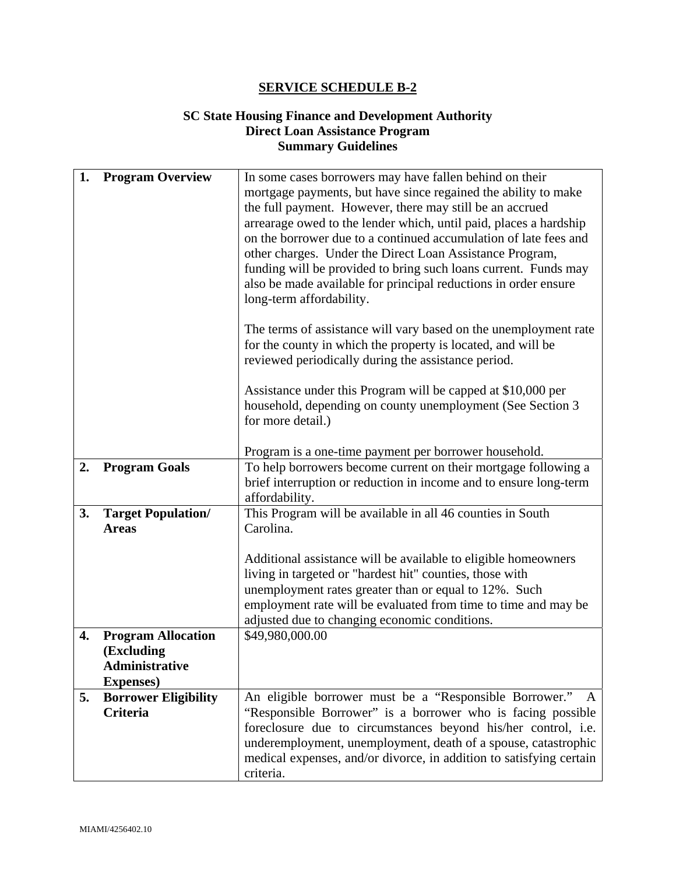## **SC State Housing Finance and Development Authority Direct Loan Assistance Program Summary Guidelines**

| 1. | <b>Program Overview</b>     | In some cases borrowers may have fallen behind on their             |  |
|----|-----------------------------|---------------------------------------------------------------------|--|
|    |                             | mortgage payments, but have since regained the ability to make      |  |
|    |                             | the full payment. However, there may still be an accrued            |  |
|    |                             | arrearage owed to the lender which, until paid, places a hardship   |  |
|    |                             | on the borrower due to a continued accumulation of late fees and    |  |
|    |                             | other charges. Under the Direct Loan Assistance Program,            |  |
|    |                             | funding will be provided to bring such loans current. Funds may     |  |
|    |                             | also be made available for principal reductions in order ensure     |  |
|    |                             | long-term affordability.                                            |  |
|    |                             |                                                                     |  |
|    |                             | The terms of assistance will vary based on the unemployment rate    |  |
|    |                             | for the county in which the property is located, and will be        |  |
|    |                             | reviewed periodically during the assistance period.                 |  |
|    |                             |                                                                     |  |
|    |                             | Assistance under this Program will be capped at \$10,000 per        |  |
|    |                             | household, depending on county unemployment (See Section 3)         |  |
|    |                             | for more detail.)                                                   |  |
|    |                             |                                                                     |  |
|    |                             | Program is a one-time payment per borrower household.               |  |
| 2. | <b>Program Goals</b>        | To help borrowers become current on their mortgage following a      |  |
|    |                             | brief interruption or reduction in income and to ensure long-term   |  |
|    |                             | affordability.                                                      |  |
| 3. | <b>Target Population/</b>   | This Program will be available in all 46 counties in South          |  |
|    | <b>Areas</b>                | Carolina.                                                           |  |
|    |                             |                                                                     |  |
|    |                             | Additional assistance will be available to eligible homeowners      |  |
|    |                             | living in targeted or "hardest hit" counties, those with            |  |
|    |                             | unemployment rates greater than or equal to 12%. Such               |  |
|    |                             | employment rate will be evaluated from time to time and may be      |  |
|    |                             | adjusted due to changing economic conditions.                       |  |
| 4. | <b>Program Allocation</b>   | \$49,980,000.00                                                     |  |
|    | (Excluding                  |                                                                     |  |
|    | <b>Administrative</b>       |                                                                     |  |
|    | <b>Expenses</b> )           |                                                                     |  |
| 5. | <b>Borrower Eligibility</b> | An eligible borrower must be a "Responsible Borrower."<br>A         |  |
|    | <b>Criteria</b>             | "Responsible Borrower" is a borrower who is facing possible         |  |
|    |                             | foreclosure due to circumstances beyond his/her control, i.e.       |  |
|    |                             | underemployment, unemployment, death of a spouse, catastrophic      |  |
|    |                             | medical expenses, and/or divorce, in addition to satisfying certain |  |
|    |                             | criteria.                                                           |  |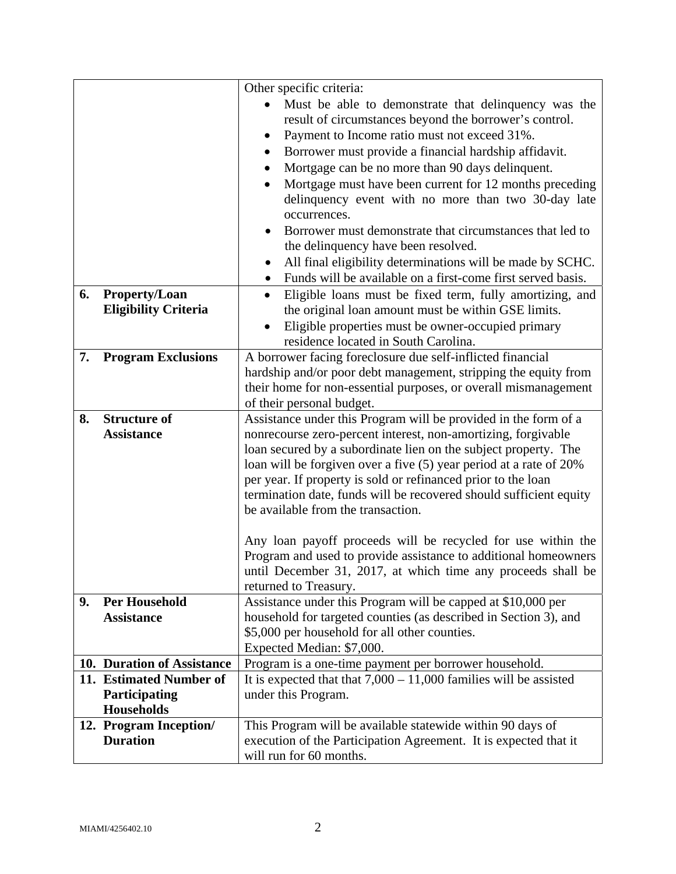|    |                             | Other specific criteria:                                                                                                        |  |
|----|-----------------------------|---------------------------------------------------------------------------------------------------------------------------------|--|
|    |                             | Must be able to demonstrate that delinquency was the                                                                            |  |
|    |                             | result of circumstances beyond the borrower's control.                                                                          |  |
|    |                             | Payment to Income ratio must not exceed 31%.<br>٠                                                                               |  |
|    |                             | Borrower must provide a financial hardship affidavit.<br>٠                                                                      |  |
|    |                             | Mortgage can be no more than 90 days delinquent.                                                                                |  |
|    |                             | Mortgage must have been current for 12 months preceding                                                                         |  |
|    |                             | delinquency event with no more than two 30-day late                                                                             |  |
|    |                             | occurrences.                                                                                                                    |  |
|    |                             | Borrower must demonstrate that circumstances that led to                                                                        |  |
|    |                             | the delinquency have been resolved.                                                                                             |  |
|    |                             | All final eligibility determinations will be made by SCHC.<br>$\bullet$                                                         |  |
|    |                             | Funds will be available on a first-come first served basis.                                                                     |  |
| 6. | <b>Property/Loan</b>        | Eligible loans must be fixed term, fully amortizing, and<br>$\bullet$                                                           |  |
|    | <b>Eligibility Criteria</b> | the original loan amount must be within GSE limits.                                                                             |  |
|    |                             | Eligible properties must be owner-occupied primary                                                                              |  |
|    |                             | residence located in South Carolina.                                                                                            |  |
| 7. | <b>Program Exclusions</b>   | A borrower facing foreclosure due self-inflicted financial                                                                      |  |
|    |                             | hardship and/or poor debt management, stripping the equity from                                                                 |  |
|    |                             | their home for non-essential purposes, or overall mismanagement                                                                 |  |
|    |                             | of their personal budget.                                                                                                       |  |
| 8. | <b>Structure of</b>         | Assistance under this Program will be provided in the form of a                                                                 |  |
|    | <b>Assistance</b>           | nonrecourse zero-percent interest, non-amortizing, forgivable                                                                   |  |
|    |                             | loan secured by a subordinate lien on the subject property. The                                                                 |  |
|    |                             | loan will be forgiven over a five (5) year period at a rate of 20%                                                              |  |
|    |                             | per year. If property is sold or refinanced prior to the loan                                                                   |  |
|    |                             | termination date, funds will be recovered should sufficient equity                                                              |  |
|    |                             | be available from the transaction.                                                                                              |  |
|    |                             |                                                                                                                                 |  |
|    |                             | Any loan payoff proceeds will be recycled for use within the<br>Program and used to provide assistance to additional homeowners |  |
|    |                             | until December 31, 2017, at which time any proceeds shall be                                                                    |  |
|    |                             | returned to Treasury.                                                                                                           |  |
| 9. | <b>Per Household</b>        | Assistance under this Program will be capped at \$10,000 per                                                                    |  |
|    | <b>Assistance</b>           | household for targeted counties (as described in Section 3), and                                                                |  |
|    |                             | \$5,000 per household for all other counties.                                                                                   |  |
|    |                             | Expected Median: \$7,000.                                                                                                       |  |
|    | 10. Duration of Assistance  | Program is a one-time payment per borrower household.                                                                           |  |
|    | 11. Estimated Number of     | It is expected that that $7,000 - 11,000$ families will be assisted                                                             |  |
|    | Participating               | under this Program.                                                                                                             |  |
|    | <b>Households</b>           |                                                                                                                                 |  |
|    | 12. Program Inception/      | This Program will be available statewide within 90 days of                                                                      |  |
|    | <b>Duration</b>             | execution of the Participation Agreement. It is expected that it                                                                |  |
|    |                             | will run for 60 months.                                                                                                         |  |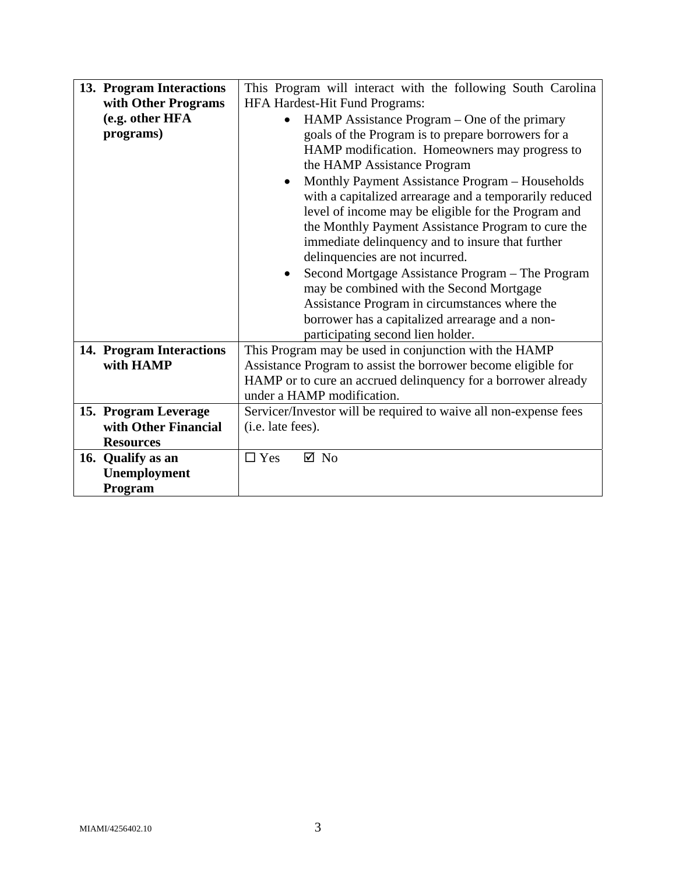| 13. Program Interactions | This Program will interact with the following South Carolina     |  |  |
|--------------------------|------------------------------------------------------------------|--|--|
| with Other Programs      | HFA Hardest-Hit Fund Programs:                                   |  |  |
| (e.g. other HFA          | HAMP Assistance Program – One of the primary<br>$\bullet$        |  |  |
| programs)                | goals of the Program is to prepare borrowers for a               |  |  |
|                          | HAMP modification. Homeowners may progress to                    |  |  |
|                          | the HAMP Assistance Program                                      |  |  |
|                          | Monthly Payment Assistance Program - Households                  |  |  |
|                          | with a capitalized arrearage and a temporarily reduced           |  |  |
|                          | level of income may be eligible for the Program and              |  |  |
|                          | the Monthly Payment Assistance Program to cure the               |  |  |
|                          | immediate delinquency and to insure that further                 |  |  |
|                          | delinquencies are not incurred.                                  |  |  |
|                          | Second Mortgage Assistance Program – The Program                 |  |  |
|                          | may be combined with the Second Mortgage                         |  |  |
|                          | Assistance Program in circumstances where the                    |  |  |
|                          | borrower has a capitalized arrearage and a non-                  |  |  |
|                          | participating second lien holder.                                |  |  |
| 14. Program Interactions | This Program may be used in conjunction with the HAMP            |  |  |
| with HAMP                | Assistance Program to assist the borrower become eligible for    |  |  |
|                          | HAMP or to cure an accrued delinquency for a borrower already    |  |  |
|                          | under a HAMP modification.                                       |  |  |
| 15. Program Leverage     | Servicer/Investor will be required to waive all non-expense fees |  |  |
| with Other Financial     | (i.e. late fees).                                                |  |  |
| <b>Resources</b>         |                                                                  |  |  |
| 16. Qualify as an        | $\Box$ Yes<br>$\boxtimes$ No                                     |  |  |
| Unemployment             |                                                                  |  |  |
| Program                  |                                                                  |  |  |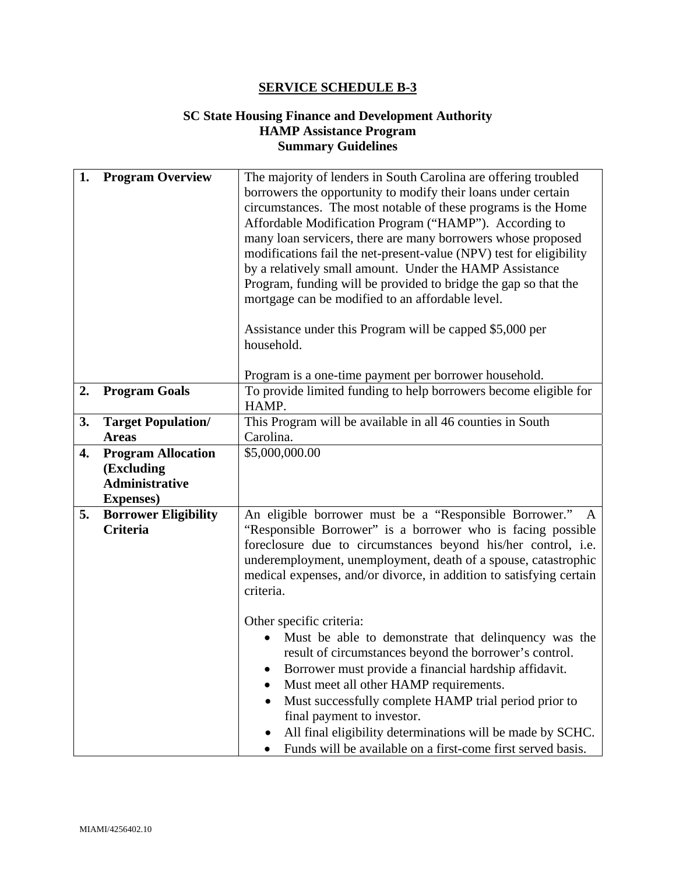## **SC State Housing Finance and Development Authority HAMP Assistance Program Summary Guidelines**

| 1. | <b>Program Overview</b>                                                               | The majority of lenders in South Carolina are offering troubled<br>borrowers the opportunity to modify their loans under certain<br>circumstances. The most notable of these programs is the Home<br>Affordable Modification Program ("HAMP"). According to<br>many loan servicers, there are many borrowers whose proposed<br>modifications fail the net-present-value (NPV) test for eligibility<br>by a relatively small amount. Under the HAMP Assistance<br>Program, funding will be provided to bridge the gap so that the<br>mortgage can be modified to an affordable level.<br>Assistance under this Program will be capped \$5,000 per<br>household. |  |  |
|----|---------------------------------------------------------------------------------------|----------------------------------------------------------------------------------------------------------------------------------------------------------------------------------------------------------------------------------------------------------------------------------------------------------------------------------------------------------------------------------------------------------------------------------------------------------------------------------------------------------------------------------------------------------------------------------------------------------------------------------------------------------------|--|--|
| 2. | <b>Program Goals</b>                                                                  | Program is a one-time payment per borrower household.<br>To provide limited funding to help borrowers become eligible for<br>HAMP.                                                                                                                                                                                                                                                                                                                                                                                                                                                                                                                             |  |  |
| 3. | <b>Target Population/</b><br><b>Areas</b>                                             | This Program will be available in all 46 counties in South<br>Carolina.                                                                                                                                                                                                                                                                                                                                                                                                                                                                                                                                                                                        |  |  |
| 4. | <b>Program Allocation</b><br>(Excluding<br><b>Administrative</b><br><b>Expenses</b> ) | \$5,000,000.00                                                                                                                                                                                                                                                                                                                                                                                                                                                                                                                                                                                                                                                 |  |  |
| 5. | <b>Borrower Eligibility</b><br><b>Criteria</b>                                        | An eligible borrower must be a "Responsible Borrower."<br>"Responsible Borrower" is a borrower who is facing possible<br>foreclosure due to circumstances beyond his/her control, i.e.<br>underemployment, unemployment, death of a spouse, catastrophic<br>medical expenses, and/or divorce, in addition to satisfying certain<br>criteria.<br>Other specific criteria:                                                                                                                                                                                                                                                                                       |  |  |
|    |                                                                                       | Must be able to demonstrate that delinquency was the<br>result of circumstances beyond the borrower's control.<br>Borrower must provide a financial hardship affidavit.<br>Must meet all other HAMP requirements.<br>Must successfully complete HAMP trial period prior to<br>final payment to investor.<br>All final eligibility determinations will be made by SCHC.<br>Funds will be available on a first-come first served basis.                                                                                                                                                                                                                          |  |  |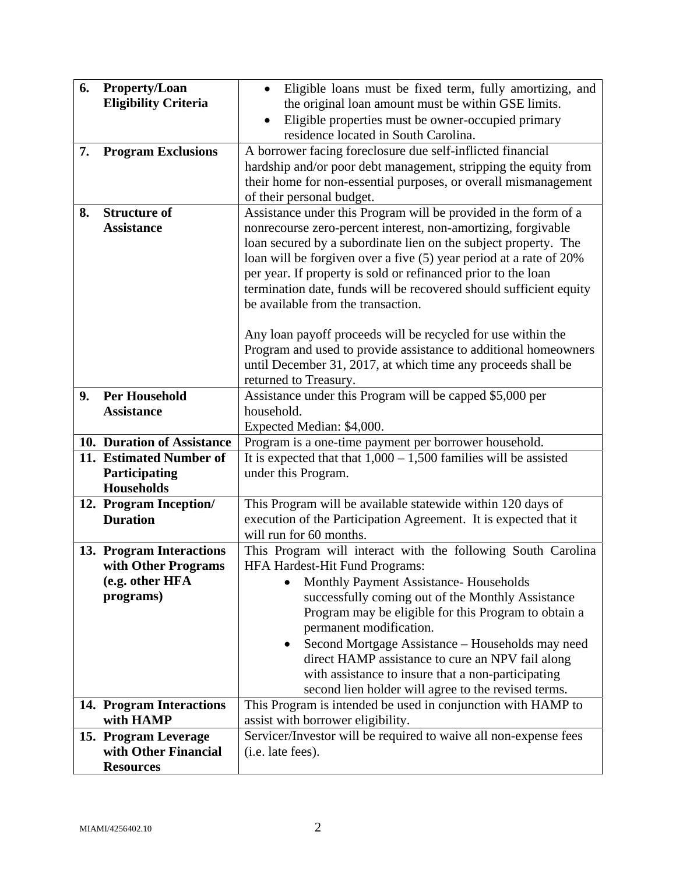| 6.<br>7. | Property/Loan<br><b>Eligibility Criteria</b><br><b>Program Exclusions</b> | Eligible loans must be fixed term, fully amortizing, and<br>$\bullet$<br>the original loan amount must be within GSE limits.<br>Eligible properties must be owner-occupied primary<br>$\bullet$<br>residence located in South Carolina.<br>A borrower facing foreclosure due self-inflicted financial                                                                                                                                                                                                                                                                                                                                                     |  |  |
|----------|---------------------------------------------------------------------------|-----------------------------------------------------------------------------------------------------------------------------------------------------------------------------------------------------------------------------------------------------------------------------------------------------------------------------------------------------------------------------------------------------------------------------------------------------------------------------------------------------------------------------------------------------------------------------------------------------------------------------------------------------------|--|--|
|          |                                                                           | hardship and/or poor debt management, stripping the equity from<br>their home for non-essential purposes, or overall mismanagement<br>of their personal budget.                                                                                                                                                                                                                                                                                                                                                                                                                                                                                           |  |  |
| 8.       | <b>Structure of</b><br><b>Assistance</b>                                  | Assistance under this Program will be provided in the form of a<br>nonrecourse zero-percent interest, non-amortizing, forgivable<br>loan secured by a subordinate lien on the subject property. The<br>loan will be forgiven over a five (5) year period at a rate of 20%<br>per year. If property is sold or refinanced prior to the loan<br>termination date, funds will be recovered should sufficient equity<br>be available from the transaction.<br>Any loan payoff proceeds will be recycled for use within the<br>Program and used to provide assistance to additional homeowners<br>until December 31, 2017, at which time any proceeds shall be |  |  |
| 9.       | <b>Per Household</b>                                                      | returned to Treasury.<br>Assistance under this Program will be capped \$5,000 per                                                                                                                                                                                                                                                                                                                                                                                                                                                                                                                                                                         |  |  |
|          | <b>Assistance</b>                                                         | household.                                                                                                                                                                                                                                                                                                                                                                                                                                                                                                                                                                                                                                                |  |  |
|          |                                                                           | Expected Median: \$4,000.                                                                                                                                                                                                                                                                                                                                                                                                                                                                                                                                                                                                                                 |  |  |
|          | 10. Duration of Assistance                                                | Program is a one-time payment per borrower household.                                                                                                                                                                                                                                                                                                                                                                                                                                                                                                                                                                                                     |  |  |
|          | 11. Estimated Number of                                                   | It is expected that that $1,000 - 1,500$ families will be assisted                                                                                                                                                                                                                                                                                                                                                                                                                                                                                                                                                                                        |  |  |
|          | Participating                                                             | under this Program.                                                                                                                                                                                                                                                                                                                                                                                                                                                                                                                                                                                                                                       |  |  |
|          | <b>Households</b>                                                         |                                                                                                                                                                                                                                                                                                                                                                                                                                                                                                                                                                                                                                                           |  |  |
|          | 12. Program Inception/                                                    | This Program will be available statewide within 120 days of                                                                                                                                                                                                                                                                                                                                                                                                                                                                                                                                                                                               |  |  |
|          | <b>Duration</b>                                                           | execution of the Participation Agreement. It is expected that it                                                                                                                                                                                                                                                                                                                                                                                                                                                                                                                                                                                          |  |  |
|          |                                                                           | will run for 60 months.                                                                                                                                                                                                                                                                                                                                                                                                                                                                                                                                                                                                                                   |  |  |
|          | 13. Program Interactions                                                  | This Program will interact with the following South Carolina                                                                                                                                                                                                                                                                                                                                                                                                                                                                                                                                                                                              |  |  |
|          | with Other Programs                                                       | <b>HFA Hardest-Hit Fund Programs:</b>                                                                                                                                                                                                                                                                                                                                                                                                                                                                                                                                                                                                                     |  |  |
|          | (e.g. other HFA<br>programs)                                              | <b>Monthly Payment Assistance- Households</b>                                                                                                                                                                                                                                                                                                                                                                                                                                                                                                                                                                                                             |  |  |
|          |                                                                           | successfully coming out of the Monthly Assistance<br>Program may be eligible for this Program to obtain a                                                                                                                                                                                                                                                                                                                                                                                                                                                                                                                                                 |  |  |
|          |                                                                           | permanent modification.                                                                                                                                                                                                                                                                                                                                                                                                                                                                                                                                                                                                                                   |  |  |
|          |                                                                           | Second Mortgage Assistance - Households may need                                                                                                                                                                                                                                                                                                                                                                                                                                                                                                                                                                                                          |  |  |
|          |                                                                           | direct HAMP assistance to cure an NPV fail along                                                                                                                                                                                                                                                                                                                                                                                                                                                                                                                                                                                                          |  |  |
|          |                                                                           | with assistance to insure that a non-participating                                                                                                                                                                                                                                                                                                                                                                                                                                                                                                                                                                                                        |  |  |
|          |                                                                           | second lien holder will agree to the revised terms.                                                                                                                                                                                                                                                                                                                                                                                                                                                                                                                                                                                                       |  |  |
|          | 14. Program Interactions                                                  | This Program is intended be used in conjunction with HAMP to                                                                                                                                                                                                                                                                                                                                                                                                                                                                                                                                                                                              |  |  |
|          | with HAMP                                                                 | assist with borrower eligibility.                                                                                                                                                                                                                                                                                                                                                                                                                                                                                                                                                                                                                         |  |  |
|          | 15. Program Leverage                                                      | Servicer/Investor will be required to waive all non-expense fees                                                                                                                                                                                                                                                                                                                                                                                                                                                                                                                                                                                          |  |  |
|          | with Other Financial                                                      | (i.e. late fees).                                                                                                                                                                                                                                                                                                                                                                                                                                                                                                                                                                                                                                         |  |  |
|          | <b>Resources</b>                                                          |                                                                                                                                                                                                                                                                                                                                                                                                                                                                                                                                                                                                                                                           |  |  |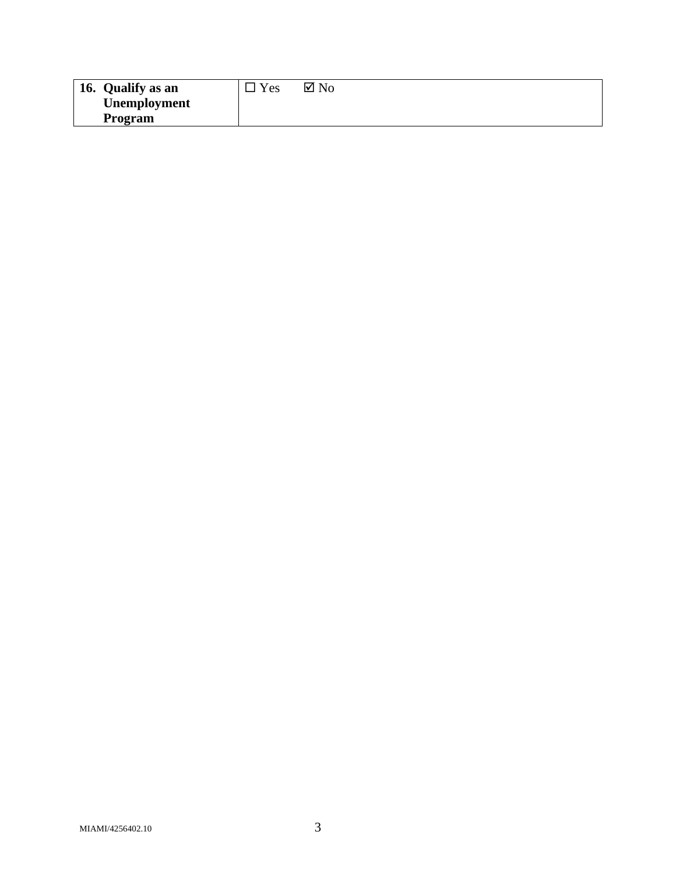| 16. Qualify as an   | $v_{es}$ | $\boxtimes$ No |
|---------------------|----------|----------------|
| <b>Unemployment</b> |          |                |
| Program             |          |                |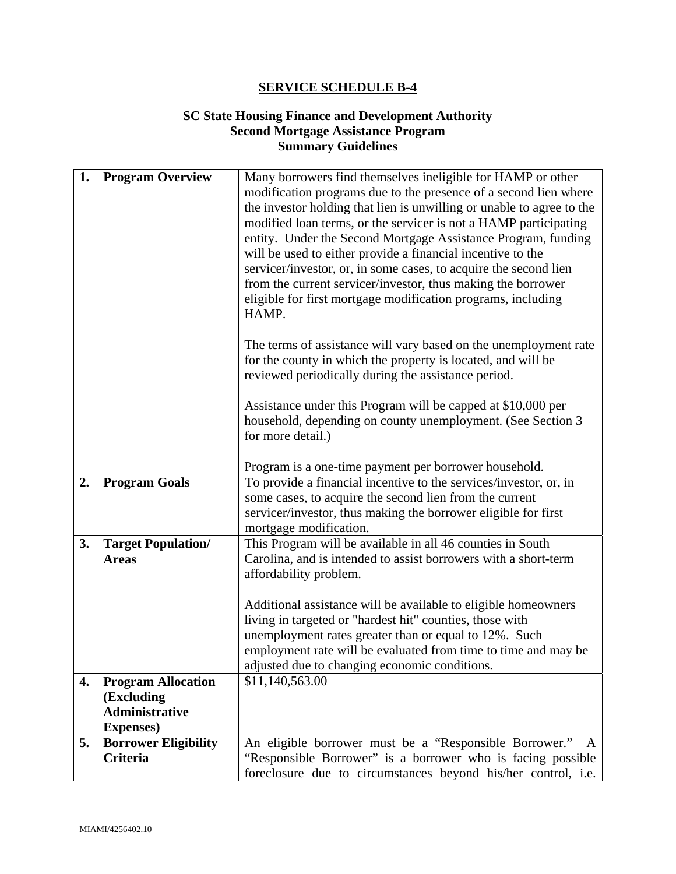## **SC State Housing Finance and Development Authority Second Mortgage Assistance Program Summary Guidelines**

| 1. | <b>Program Overview</b>                                                               | Many borrowers find themselves ineligible for HAMP or other<br>modification programs due to the presence of a second lien where<br>the investor holding that lien is unwilling or unable to agree to the<br>modified loan terms, or the servicer is not a HAMP participating<br>entity. Under the Second Mortgage Assistance Program, funding<br>will be used to either provide a financial incentive to the<br>servicer/investor, or, in some cases, to acquire the second lien<br>from the current servicer/investor, thus making the borrower<br>eligible for first mortgage modification programs, including<br>HAMP.<br>The terms of assistance will vary based on the unemployment rate |
|----|---------------------------------------------------------------------------------------|-----------------------------------------------------------------------------------------------------------------------------------------------------------------------------------------------------------------------------------------------------------------------------------------------------------------------------------------------------------------------------------------------------------------------------------------------------------------------------------------------------------------------------------------------------------------------------------------------------------------------------------------------------------------------------------------------|
|    |                                                                                       | for the county in which the property is located, and will be<br>reviewed periodically during the assistance period.<br>Assistance under this Program will be capped at \$10,000 per<br>household, depending on county unemployment. (See Section 3<br>for more detail.)<br>Program is a one-time payment per borrower household.                                                                                                                                                                                                                                                                                                                                                              |
| 2. | <b>Program Goals</b>                                                                  | To provide a financial incentive to the services/investor, or, in<br>some cases, to acquire the second lien from the current<br>servicer/investor, thus making the borrower eligible for first<br>mortgage modification.                                                                                                                                                                                                                                                                                                                                                                                                                                                                      |
| 3. | <b>Target Population/</b><br><b>Areas</b>                                             | This Program will be available in all 46 counties in South<br>Carolina, and is intended to assist borrowers with a short-term<br>affordability problem.<br>Additional assistance will be available to eligible homeowners<br>living in targeted or "hardest hit" counties, those with<br>unemployment rates greater than or equal to 12%. Such<br>employment rate will be evaluated from time to time and may be<br>adjusted due to changing economic conditions.                                                                                                                                                                                                                             |
| 4. | <b>Program Allocation</b><br>(Excluding<br><b>Administrative</b><br><b>Expenses</b> ) | \$11,140,563.00                                                                                                                                                                                                                                                                                                                                                                                                                                                                                                                                                                                                                                                                               |
| 5. | <b>Borrower Eligibility</b><br><b>Criteria</b>                                        | An eligible borrower must be a "Responsible Borrower."<br>A<br>"Responsible Borrower" is a borrower who is facing possible<br>foreclosure due to circumstances beyond his/her control, i.e.                                                                                                                                                                                                                                                                                                                                                                                                                                                                                                   |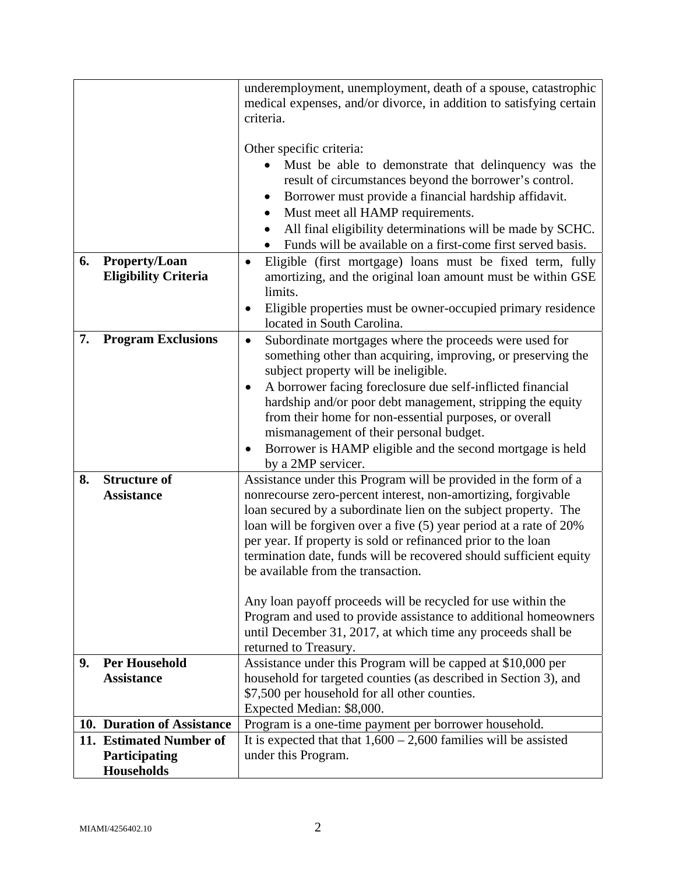|    |                             | underemployment, unemployment, death of a spouse, catastrophic                                                                      |  |  |
|----|-----------------------------|-------------------------------------------------------------------------------------------------------------------------------------|--|--|
|    |                             | medical expenses, and/or divorce, in addition to satisfying certain<br>criteria.                                                    |  |  |
|    |                             |                                                                                                                                     |  |  |
|    |                             | Other specific criteria:                                                                                                            |  |  |
|    |                             | Must be able to demonstrate that delinquency was the                                                                                |  |  |
|    |                             | result of circumstances beyond the borrower's control.                                                                              |  |  |
|    |                             | Borrower must provide a financial hardship affidavit.                                                                               |  |  |
|    |                             | Must meet all HAMP requirements.<br>٠                                                                                               |  |  |
|    |                             | All final eligibility determinations will be made by SCHC.                                                                          |  |  |
|    |                             | Funds will be available on a first-come first served basis.                                                                         |  |  |
| 6. | <b>Property/Loan</b>        | Eligible (first mortgage) loans must be fixed term, fully<br>$\bullet$                                                              |  |  |
|    | <b>Eligibility Criteria</b> | amortizing, and the original loan amount must be within GSE                                                                         |  |  |
|    |                             | limits.                                                                                                                             |  |  |
|    |                             | Eligible properties must be owner-occupied primary residence                                                                        |  |  |
| 7. | <b>Program Exclusions</b>   | located in South Carolina.                                                                                                          |  |  |
|    |                             | Subordinate mortgages where the proceeds were used for<br>$\bullet$<br>something other than acquiring, improving, or preserving the |  |  |
|    |                             | subject property will be ineligible.                                                                                                |  |  |
|    |                             | A borrower facing foreclosure due self-inflicted financial<br>٠                                                                     |  |  |
|    |                             | hardship and/or poor debt management, stripping the equity                                                                          |  |  |
|    |                             | from their home for non-essential purposes, or overall                                                                              |  |  |
|    |                             | mismanagement of their personal budget.                                                                                             |  |  |
|    |                             | Borrower is HAMP eligible and the second mortgage is held                                                                           |  |  |
|    |                             | by a 2MP servicer.                                                                                                                  |  |  |
| 8. | <b>Structure of</b>         | Assistance under this Program will be provided in the form of a                                                                     |  |  |
|    | <b>Assistance</b>           | nonrecourse zero-percent interest, non-amortizing, forgivable<br>loan secured by a subordinate lien on the subject property. The    |  |  |
|    |                             | loan will be forgiven over a five (5) year period at a rate of 20%                                                                  |  |  |
|    |                             | per year. If property is sold or refinanced prior to the loan                                                                       |  |  |
|    |                             | termination date, funds will be recovered should sufficient equity                                                                  |  |  |
|    |                             | be available from the transaction.                                                                                                  |  |  |
|    |                             |                                                                                                                                     |  |  |
|    |                             | Any loan payoff proceeds will be recycled for use within the                                                                        |  |  |
|    |                             | Program and used to provide assistance to additional homeowners                                                                     |  |  |
|    |                             | until December 31, 2017, at which time any proceeds shall be                                                                        |  |  |
| 9. | <b>Per Household</b>        | returned to Treasury.<br>Assistance under this Program will be capped at \$10,000 per                                               |  |  |
|    | <b>Assistance</b>           | household for targeted counties (as described in Section 3), and                                                                    |  |  |
|    |                             | \$7,500 per household for all other counties.                                                                                       |  |  |
|    |                             | Expected Median: \$8,000.                                                                                                           |  |  |
|    | 10. Duration of Assistance  | Program is a one-time payment per borrower household.                                                                               |  |  |
|    | 11. Estimated Number of     | It is expected that that $1,600 - 2,600$ families will be assisted                                                                  |  |  |
|    | Participating               | under this Program.                                                                                                                 |  |  |
|    | <b>Households</b>           |                                                                                                                                     |  |  |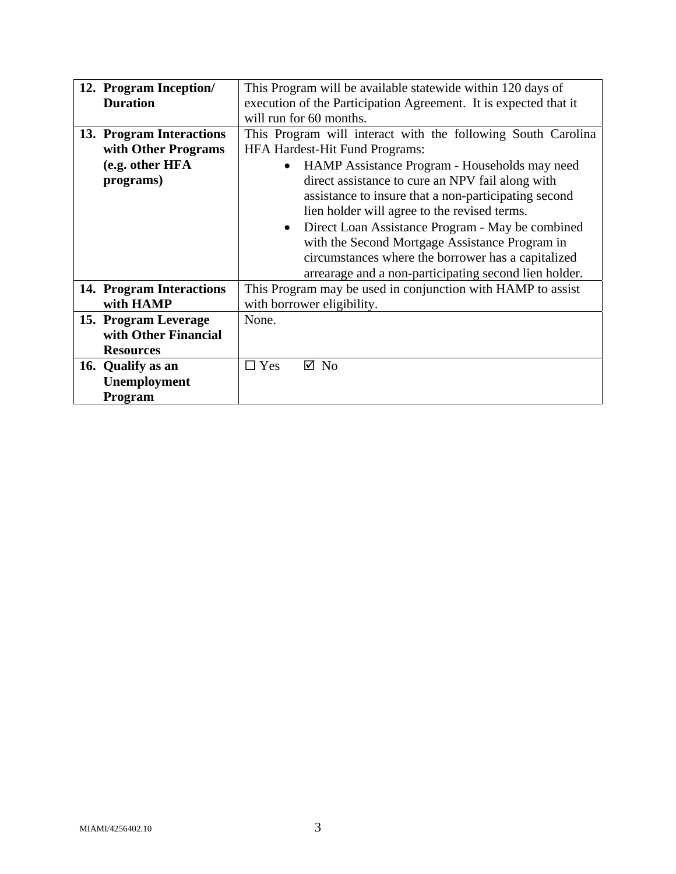| 12. Program Inception/   | This Program will be available statewide within 120 days of      |  |  |
|--------------------------|------------------------------------------------------------------|--|--|
| <b>Duration</b>          | execution of the Participation Agreement. It is expected that it |  |  |
|                          |                                                                  |  |  |
|                          | will run for 60 months.                                          |  |  |
| 13. Program Interactions | This Program will interact with the following South Carolina     |  |  |
| with Other Programs      | <b>HFA Hardest-Hit Fund Programs:</b>                            |  |  |
| (e.g. other HFA          | HAMP Assistance Program - Households may need                    |  |  |
| programs)                | direct assistance to cure an NPV fail along with                 |  |  |
|                          | assistance to insure that a non-participating second             |  |  |
|                          | lien holder will agree to the revised terms.                     |  |  |
|                          | Direct Loan Assistance Program - May be combined<br>$\bullet$    |  |  |
|                          | with the Second Mortgage Assistance Program in                   |  |  |
|                          | circumstances where the borrower has a capitalized               |  |  |
|                          | arrearage and a non-participating second lien holder.            |  |  |
| 14. Program Interactions | This Program may be used in conjunction with HAMP to assist      |  |  |
| with HAMP                | with borrower eligibility.                                       |  |  |
| 15. Program Leverage     | None.                                                            |  |  |
| with Other Financial     |                                                                  |  |  |
| <b>Resources</b>         |                                                                  |  |  |
| 16. Qualify as an        | $\Box$ Yes<br>$\boxtimes$ No                                     |  |  |
| Unemployment             |                                                                  |  |  |
| <b>Program</b>           |                                                                  |  |  |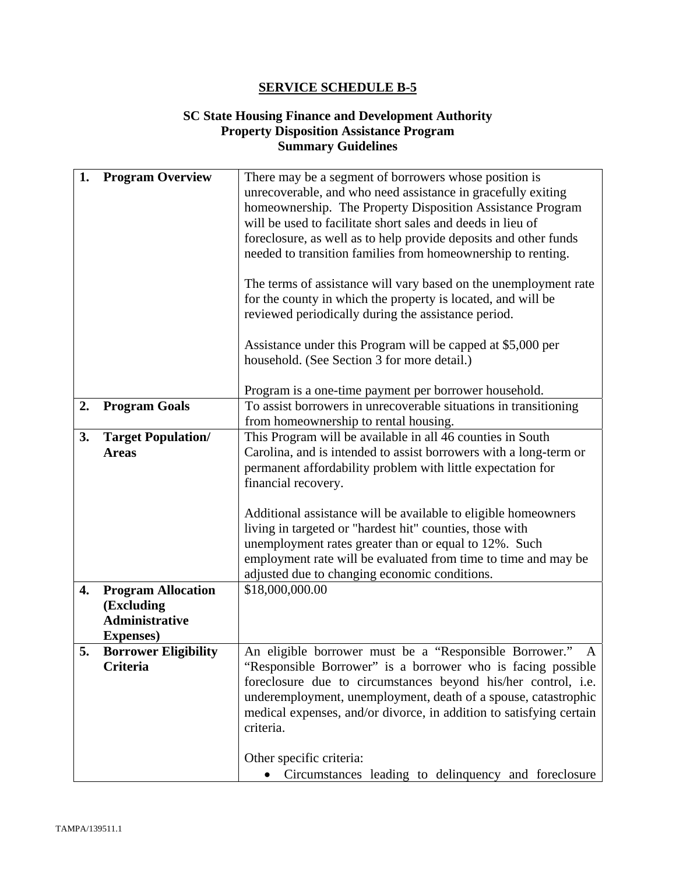## **SC State Housing Finance and Development Authority Property Disposition Assistance Program Summary Guidelines**

| 1. | <b>Program Overview</b>                 | There may be a segment of borrowers whose position is<br>unrecoverable, and who need assistance in gracefully exiting<br>homeownership. The Property Disposition Assistance Program<br>will be used to facilitate short sales and deeds in lieu of<br>foreclosure, as well as to help provide deposits and other funds |  |
|----|-----------------------------------------|------------------------------------------------------------------------------------------------------------------------------------------------------------------------------------------------------------------------------------------------------------------------------------------------------------------------|--|
|    |                                         | needed to transition families from homeownership to renting.                                                                                                                                                                                                                                                           |  |
|    |                                         | The terms of assistance will vary based on the unemployment rate<br>for the county in which the property is located, and will be<br>reviewed periodically during the assistance period.                                                                                                                                |  |
|    |                                         | Assistance under this Program will be capped at \$5,000 per<br>household. (See Section 3 for more detail.)                                                                                                                                                                                                             |  |
|    |                                         | Program is a one-time payment per borrower household.                                                                                                                                                                                                                                                                  |  |
| 2. | <b>Program Goals</b>                    | To assist borrowers in unrecoverable situations in transitioning                                                                                                                                                                                                                                                       |  |
|    |                                         | from homeownership to rental housing.                                                                                                                                                                                                                                                                                  |  |
| 3. | <b>Target Population/</b>               | This Program will be available in all 46 counties in South                                                                                                                                                                                                                                                             |  |
|    | <b>Areas</b>                            | Carolina, and is intended to assist borrowers with a long-term or                                                                                                                                                                                                                                                      |  |
|    |                                         | permanent affordability problem with little expectation for                                                                                                                                                                                                                                                            |  |
|    |                                         | financial recovery.                                                                                                                                                                                                                                                                                                    |  |
|    |                                         | Additional assistance will be available to eligible homeowners                                                                                                                                                                                                                                                         |  |
|    |                                         | living in targeted or "hardest hit" counties, those with                                                                                                                                                                                                                                                               |  |
|    |                                         | unemployment rates greater than or equal to 12%. Such                                                                                                                                                                                                                                                                  |  |
|    |                                         | employment rate will be evaluated from time to time and may be                                                                                                                                                                                                                                                         |  |
|    |                                         | adjusted due to changing economic conditions.                                                                                                                                                                                                                                                                          |  |
| 4. | <b>Program Allocation</b>               | \$18,000,000.00                                                                                                                                                                                                                                                                                                        |  |
|    | (Excluding                              |                                                                                                                                                                                                                                                                                                                        |  |
|    | <b>Administrative</b>                   |                                                                                                                                                                                                                                                                                                                        |  |
|    | <b>Expenses</b> )                       |                                                                                                                                                                                                                                                                                                                        |  |
| 5. | <b>Borrower Eligibility</b><br>Criteria | An eligible borrower must be a "Responsible Borrower."<br>A<br>"Responsible Borrower" is a borrower who is facing possible                                                                                                                                                                                             |  |
|    |                                         | foreclosure due to circumstances beyond his/her control, i.e.                                                                                                                                                                                                                                                          |  |
|    |                                         | underemployment, unemployment, death of a spouse, catastrophic                                                                                                                                                                                                                                                         |  |
|    |                                         | medical expenses, and/or divorce, in addition to satisfying certain<br>criteria.                                                                                                                                                                                                                                       |  |
|    |                                         |                                                                                                                                                                                                                                                                                                                        |  |
|    |                                         | Other specific criteria:                                                                                                                                                                                                                                                                                               |  |
|    |                                         | Circumstances leading to delinquency and foreclosure                                                                                                                                                                                                                                                                   |  |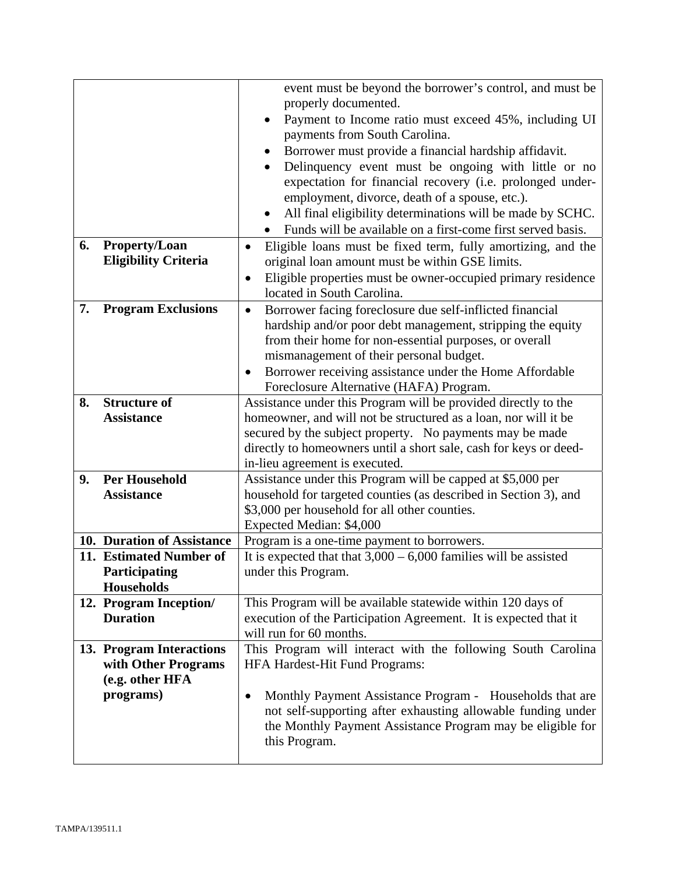|    |                                                 | event must be beyond the borrower's control, and must be<br>properly documented.                                                                                                                                                              |  |  |
|----|-------------------------------------------------|-----------------------------------------------------------------------------------------------------------------------------------------------------------------------------------------------------------------------------------------------|--|--|
|    |                                                 | Payment to Income ratio must exceed 45%, including UI<br>$\bullet$<br>payments from South Carolina.                                                                                                                                           |  |  |
|    |                                                 | Borrower must provide a financial hardship affidavit.<br>٠                                                                                                                                                                                    |  |  |
|    |                                                 | Delinquency event must be ongoing with little or no<br>expectation for financial recovery (i.e. prolonged under-<br>employment, divorce, death of a spouse, etc.).<br>All final eligibility determinations will be made by SCHC.<br>$\bullet$ |  |  |
|    |                                                 | Funds will be available on a first-come first served basis.                                                                                                                                                                                   |  |  |
| 6. | <b>Property/Loan</b>                            | Eligible loans must be fixed term, fully amortizing, and the<br>$\bullet$                                                                                                                                                                     |  |  |
|    | <b>Eligibility Criteria</b>                     | original loan amount must be within GSE limits.                                                                                                                                                                                               |  |  |
|    |                                                 | Eligible properties must be owner-occupied primary residence<br>$\bullet$                                                                                                                                                                     |  |  |
| 7. |                                                 | located in South Carolina.                                                                                                                                                                                                                    |  |  |
|    | <b>Program Exclusions</b>                       | Borrower facing foreclosure due self-inflicted financial<br>$\bullet$                                                                                                                                                                         |  |  |
|    |                                                 | hardship and/or poor debt management, stripping the equity<br>from their home for non-essential purposes, or overall                                                                                                                          |  |  |
|    |                                                 | mismanagement of their personal budget.                                                                                                                                                                                                       |  |  |
|    |                                                 | Borrower receiving assistance under the Home Affordable<br>$\bullet$                                                                                                                                                                          |  |  |
|    |                                                 | Foreclosure Alternative (HAFA) Program.                                                                                                                                                                                                       |  |  |
| 8. | <b>Structure of</b>                             | Assistance under this Program will be provided directly to the                                                                                                                                                                                |  |  |
|    | <b>Assistance</b>                               | homeowner, and will not be structured as a loan, nor will it be                                                                                                                                                                               |  |  |
|    |                                                 | secured by the subject property. No payments may be made                                                                                                                                                                                      |  |  |
|    |                                                 | directly to homeowners until a short sale, cash for keys or deed-                                                                                                                                                                             |  |  |
|    |                                                 | in-lieu agreement is executed.                                                                                                                                                                                                                |  |  |
| 9. | <b>Per Household</b>                            | Assistance under this Program will be capped at \$5,000 per                                                                                                                                                                                   |  |  |
|    | <b>Assistance</b>                               | household for targeted counties (as described in Section 3), and                                                                                                                                                                              |  |  |
|    |                                                 | \$3,000 per household for all other counties.                                                                                                                                                                                                 |  |  |
|    |                                                 | Expected Median: \$4,000                                                                                                                                                                                                                      |  |  |
|    | 10. Duration of Assistance                      | Program is a one-time payment to borrowers.                                                                                                                                                                                                   |  |  |
|    | 11. Estimated Number of                         | It is expected that that $3,000 - 6,000$ families will be assisted                                                                                                                                                                            |  |  |
|    | <b>Participating</b>                            | under this Program.                                                                                                                                                                                                                           |  |  |
|    | <b>Households</b>                               |                                                                                                                                                                                                                                               |  |  |
|    | 12. Program Inception/                          | This Program will be available statewide within 120 days of                                                                                                                                                                                   |  |  |
|    | <b>Duration</b>                                 | execution of the Participation Agreement. It is expected that it                                                                                                                                                                              |  |  |
|    |                                                 | will run for 60 months.                                                                                                                                                                                                                       |  |  |
|    | 13. Program Interactions<br>with Other Programs | This Program will interact with the following South Carolina                                                                                                                                                                                  |  |  |
|    | (e.g. other HFA                                 | HFA Hardest-Hit Fund Programs:                                                                                                                                                                                                                |  |  |
|    | programs)                                       | Monthly Payment Assistance Program - Households that are<br>$\bullet$                                                                                                                                                                         |  |  |
|    |                                                 | not self-supporting after exhausting allowable funding under<br>the Monthly Payment Assistance Program may be eligible for<br>this Program.                                                                                                   |  |  |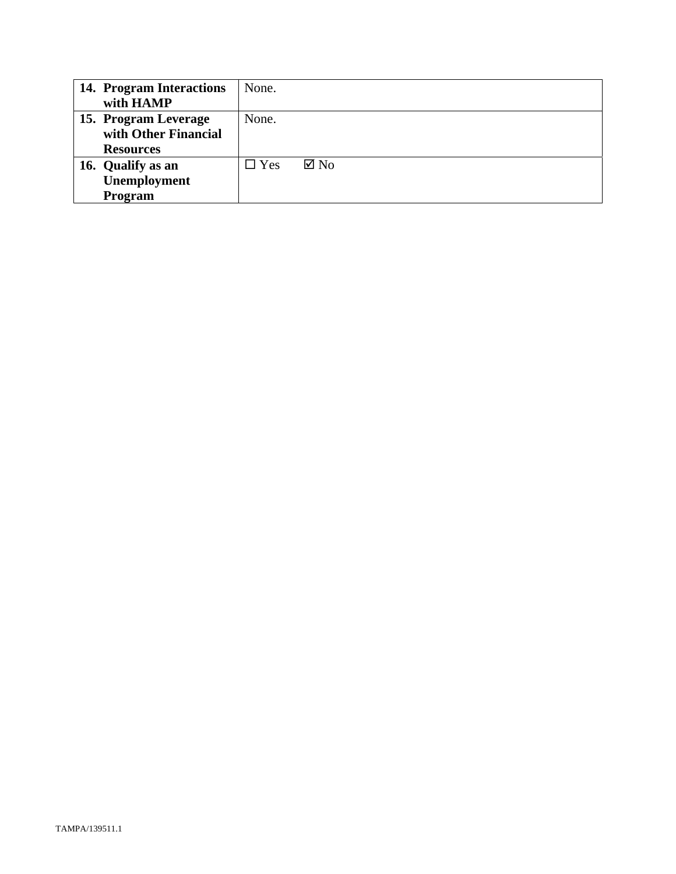| 14. Program Interactions | None.      |                |
|--------------------------|------------|----------------|
| with HAMP                |            |                |
| 15. Program Leverage     | None.      |                |
| with Other Financial     |            |                |
| <b>Resources</b>         |            |                |
| 16. Qualify as an        | $\Box$ Yes | $\boxtimes$ No |
| <b>Unemployment</b>      |            |                |
| Program                  |            |                |